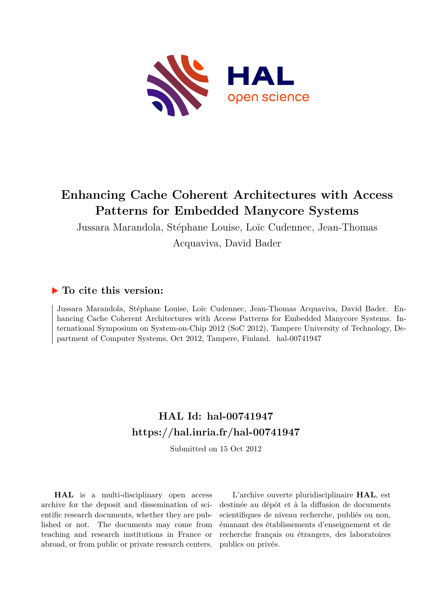

# **Enhancing Cache Coherent Architectures with Access Patterns for Embedded Manycore Systems**

Jussara Marandola, Stéphane Louise, Loïc Cudennec, Jean-Thomas Acquaviva, David Bader

# **To cite this version:**

Jussara Marandola, Stéphane Louise, Loïc Cudennec, Jean-Thomas Acquaviva, David Bader. Enhancing Cache Coherent Architectures with Access Patterns for Embedded Manycore Systems. International Symposium on System-on-Chip 2012 (SoC 2012), Tampere University of Technology, Department of Computer Systems, Oct 2012, Tampere, Finland. hal-00741947

# **HAL Id: hal-00741947 <https://hal.inria.fr/hal-00741947>**

Submitted on 15 Oct 2012

**HAL** is a multi-disciplinary open access archive for the deposit and dissemination of scientific research documents, whether they are published or not. The documents may come from teaching and research institutions in France or abroad, or from public or private research centers.

L'archive ouverte pluridisciplinaire **HAL**, est destinée au dépôt et à la diffusion de documents scientifiques de niveau recherche, publiés ou non, émanant des établissements d'enseignement et de recherche français ou étrangers, des laboratoires publics ou privés.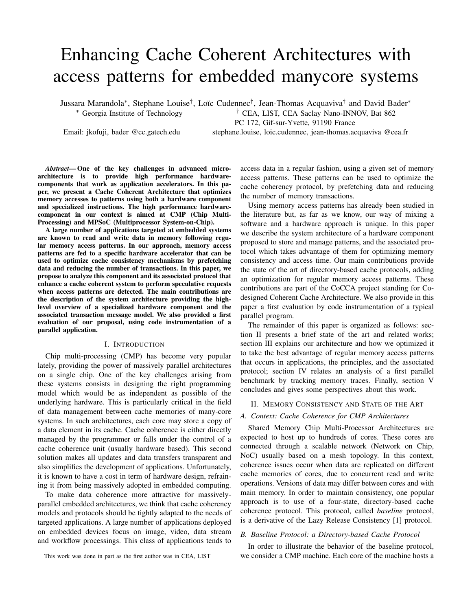# Enhancing Cache Coherent Architectures with access patterns for embedded manycore systems

Jussara Marandola\*, Stephane Louise<sup>†</sup>, Loïc Cudennec<sup>†</sup>, Jean-Thomas Acquaviva<sup>†</sup> and David Bader\* <sup>∗</sup> Georgia Institute of Technology † CEA, LIST, CEA Saclay Nano-INNOV, Bat 862

PC 172, Gif-sur-Yvette, 91190 France Email: jkofuji, bader @cc.gatech.edu stephane.louise, loic.cudennec, jean-thomas.acquaviva @cea.fr

*Abstract*— One of the key challenges in advanced microarchitecture is to provide high performance hardwarecomponents that work as application accelerators. In this paper, we present a Cache Coherent Architecture that optimizes memory accesses to patterns using both a hardware component and specialized instructions. The high performance hardwarecomponent in our context is aimed at CMP (Chip Multi-Processing) and MPSoC (Multiprocessor System-on-Chip).

A large number of applications targeted at embedded systems are known to read and write data in memory following regular memory access patterns. In our approach, memory access patterns are fed to a specific hardware accelerator that can be used to optimize cache consistency mechanisms by prefetching data and reducing the number of transactions. In this paper, we propose to analyze this component and its associated protocol that enhance a cache coherent system to perform speculative requests when access patterns are detected. The main contributions are the description of the system architecture providing the highlevel overview of a specialized hardware component and the associated transaction message model. We also provided a first evaluation of our proposal, using code instrumentation of a parallel application.

## I. INTRODUCTION

Chip multi-processing (CMP) has become very popular lately, providing the power of massively parallel architectures on a single chip. One of the key challenges arising from these systems consists in designing the right programming model which would be as independent as possible of the underlying hardware. This is particularly critical in the field of data management between cache memories of many-core systems. In such architectures, each core may store a copy of a data element in its cache. Cache coherence is either directly managed by the programmer or falls under the control of a cache coherence unit (usually hardware based). This second solution makes all updates and data transfers transparent and also simplifies the development of applications. Unfortunately, it is known to have a cost in term of hardware design, refraining it from being massively adopted in embedded computing.

To make data coherence more attractive for massivelyparallel embedded architectures, we think that cache coherency models and protocols should be tightly adapted to the needs of targeted applications. A large number of applications deployed on embedded devices focus on image, video, data stream and workflow processings. This class of applications tends to

This work was done in part as the first author was in CEA, LIST

access data in a regular fashion, using a given set of memory access patterns. These patterns can be used to optimize the cache coherency protocol, by prefetching data and reducing the number of memory transactions.

Using memory access patterns has already been studied in the literature but, as far as we know, our way of mixing a software and a hardware approach is unique. In this paper we describe the system architecture of a hardware component proposed to store and manage patterns, and the associated protocol which takes advantage of them for optimizing memory consistency and access time. Our main contributions provide the state of the art of directory-based cache protocols, adding an optimization for regular memory access patterns. These contributions are part of the CoCCA project standing for Codesigned Coherent Cache Architecture. We also provide in this paper a first evaluation by code instrumentation of a typical parallel program.

The remainder of this paper is organized as follows: section II presents a brief state of the art and related works; section III explains our architecture and how we optimized it to take the best advantage of regular memory access patterns that occurs in applications, the principles, and the associated protocol; section IV relates an analysis of a first parallel benchmark by tracking memory traces. Finally, section V concludes and gives some perspectives about this work.

#### II. MEMORY CONSISTENCY AND STATE OF THE ART

# *A. Context: Cache Coherence for CMP Architectures*

Shared Memory Chip Multi-Processor Architectures are expected to host up to hundreds of cores. These cores are connected through a scalable network (Network on Chip, NoC) usually based on a mesh topology. In this context, coherence issues occur when data are replicated on different cache memories of cores, due to concurrent read and write operations. Versions of data may differ between cores and with main memory. In order to maintain consistency, one popular approach is to use of a four-state, directory-based cache coherence protocol. This protocol, called *baseline* protocol, is a derivative of the Lazy Release Consistency [1] protocol.

#### *B. Baseline Protocol: a Directory-based Cache Protocol*

In order to illustrate the behavior of the baseline protocol, we consider a CMP machine. Each core of the machine hosts a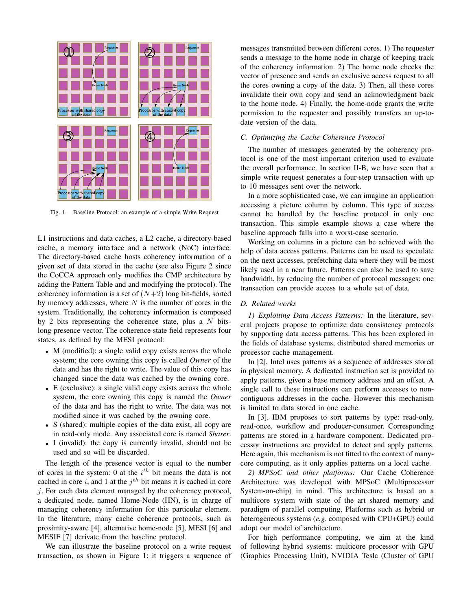

Fig. 1. Baseline Protocol: an example of a simple Write Request

L1 instructions and data caches, a L2 cache, a directory-based cache, a memory interface and a network (NoC) interface. The directory-based cache hosts coherency information of a given set of data stored in the cache (see also Figure 2 since the CoCCA approach only modifies the CMP architecture by adding the Pattern Table and and modifying the protocol). The coherency information is a set of  $(N+2)$  long bit-fields, sorted by memory addresses, where  $N$  is the number of cores in the system. Traditionally, the coherency information is composed by 2 bits representing the coherence state, plus a  $N$  bitslong presence vector. The coherence state field represents four states, as defined by the MESI protocol:

- M (modified): a single valid copy exists across the whole system; the core owning this copy is called *Owner* of the data and has the right to write. The value of this copy has changed since the data was cached by the owning core.
- E (exclusive): a single valid copy exists across the whole system, the core owning this copy is named the *Owner* of the data and has the right to write. The data was not modified since it was cached by the owning core.
- S (shared): multiple copies of the data exist, all copy are in read-only mode. Any associated core is named *Sharer*.
- I (invalid): the copy is currently invalid, should not be used and so will be discarded.

The length of the presence vector is equal to the number of cores in the system: 0 at the  $i^{th}$  bit means the data is not cached in core i, and 1 at the  $j<sup>th</sup>$  bit means it is cached in core j. For each data element managed by the coherency protocol, a dedicated node, named Home-Node (HN), is in charge of managing coherency information for this particular element. In the literature, many cache coherence protocols, such as proximity-aware [4], alternative home-node [5], MESI [6] and MESIF [7] derivate from the baseline protocol.

We can illustrate the baseline protocol on a write request transaction, as shown in Figure 1: it triggers a sequence of messages transmitted between different cores. 1) The requester sends a message to the home node in charge of keeping track of the coherency information. 2) The home node checks the vector of presence and sends an exclusive access request to all the cores owning a copy of the data. 3) Then, all these cores invalidate their own copy and send an acknowledgment back to the home node. 4) Finally, the home-node grants the write permission to the requester and possibly transfers an up-todate version of the data.

#### *C. Optimizing the Cache Coherence Protocol*

The number of messages generated by the coherency protocol is one of the most important criterion used to evaluate the overall performance. In section II-B, we have seen that a simple write request generates a four-step transaction with up to 10 messages sent over the network.

In a more sophisticated case, we can imagine an application accessing a picture column by column. This type of access cannot be handled by the baseline protocol in only one transaction. This simple example shows a case where the baseline approach falls into a worst-case scenario.

Working on columns in a picture can be achieved with the help of data access patterns. Patterns can be used to speculate on the next accesses, prefetching data where they will be most likely used in a near future. Patterns can also be used to save bandwidth, by reducing the number of protocol messages: one transaction can provide access to a whole set of data.

### *D. Related works*

*1) Exploiting Data Access Patterns:* In the literature, several projects propose to optimize data consistency protocols by supporting data access patterns. This has been explored in the fields of database systems, distributed shared memories or processor cache management.

In [2], Intel uses patterns as a sequence of addresses stored in physical memory. A dedicated instruction set is provided to apply patterns, given a base memory address and an offset. A single call to these instructions can perform accesses to noncontiguous addresses in the cache. However this mechanism is limited to data stored in one cache.

In [3], IBM proposes to sort patterns by type: read-only, read-once, workflow and producer-consumer. Corresponding patterns are stored in a hardware component. Dedicated processor instructions are provided to detect and apply patterns. Here again, this mechanism is not fitted to the context of manycore computing, as it only applies patterns on a local cache.

*2) MPSoC and other platforms:* Our Cache Coherence Architecture was developed with MPSoC (Multiprocessor System-on-chip) in mind. This architecture is based on a multicore system with state of the art shared memory and paradigm of parallel computing. Platforms such as hybrid or heterogeneous systems (*e.g.* composed with CPU+GPU) could adopt our model of architecture.

For high performance computing, we aim at the kind of following hybrid systems: multicore processor with GPU (Graphics Processing Unit), NVIDIA Tesla (Cluster of GPU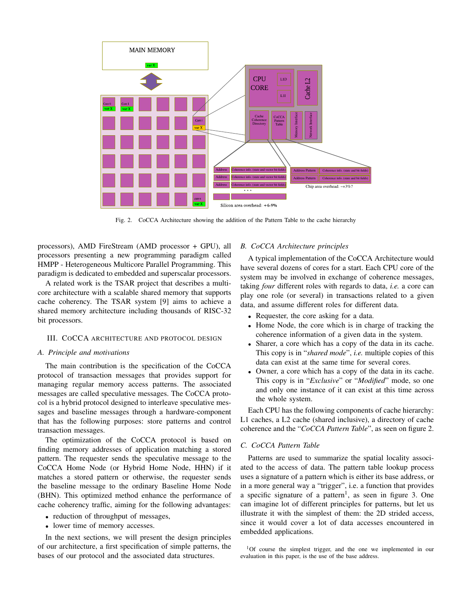

Fig. 2. CoCCA Architecture showing the addition of the Pattern Table to the cache hierarchy

processors), AMD FireStream (AMD processor + GPU), all processors presenting a new programming paradigm called HMPP - Heterogeneous Multicore Parallel Programming. This paradigm is dedicated to embedded and superscalar processors.

A related work is the TSAR project that describes a multicore architecture with a scalable shared memory that supports cache coherency. The TSAR system [9] aims to achieve a shared memory architecture including thousands of RISC-32 bit processors.

# III. COCCA ARCHITECTURE AND PROTOCOL DESIGN

## *A. Principle and motivations*

The main contribution is the specification of the CoCCA protocol of transaction messages that provides support for managing regular memory access patterns. The associated messages are called speculative messages. The CoCCA protocol is a hybrid protocol designed to interleave speculative messages and baseline messages through a hardware-component that has the following purposes: store patterns and control transaction messages.

The optimization of the CoCCA protocol is based on finding memory addresses of application matching a stored pattern. The requester sends the speculative message to the CoCCA Home Node (or Hybrid Home Node, HHN) if it matches a stored pattern or otherwise, the requester sends the baseline message to the ordinary Baseline Home Node (BHN). This optimized method enhance the performance of cache coherency traffic, aiming for the following advantages:

- reduction of throughput of messages,
- lower time of memory accesses.

In the next sections, we will present the design principles of our architecture, a first specification of simple patterns, the bases of our protocol and the associated data structures.

# *B. CoCCA Architecture principles*

A typical implementation of the CoCCA Architecture would have several dozens of cores for a start. Each CPU core of the system may be involved in exchange of coherence messages, taking *four* different roles with regards to data, *i.e.* a core can play one role (or several) in transactions related to a given data, and assume different roles for different data.

- Requester, the core asking for a data.
- Home Node, the core which is in charge of tracking the coherence information of a given data in the system.
- Sharer, a core which has a copy of the data in its cache. This copy is in "*shared mode*", *i.e.* multiple copies of this data can exist at the same time for several cores.
- Owner, a core which has a copy of the data in its cache. This copy is in "*Exclusive*" or "*Modified*" mode, so one and only one instance of it can exist at this time across the whole system.

Each CPU has the following components of cache hierarchy: L1 caches, a L2 cache (shared inclusive), a directory of cache coherence and the "*CoCCA Pattern Table*", as seen on figure 2.

# *C. CoCCA Pattern Table*

Patterns are used to summarize the spatial locality associated to the access of data. The pattern table lookup process uses a signature of a pattern which is either its base address, or in a more general way a "trigger", i.e. a function that provides a specific signature of a pattern<sup>1</sup>, as seen in figure 3. One can imagine lot of different principles for patterns, but let us illustrate it with the simplest of them: the 2D strided access, since it would cover a lot of data accesses encountered in embedded applications.

<sup>1</sup>Of course the simplest trigger, and the one we implemented in our evaluation in this paper, is the use of the base address.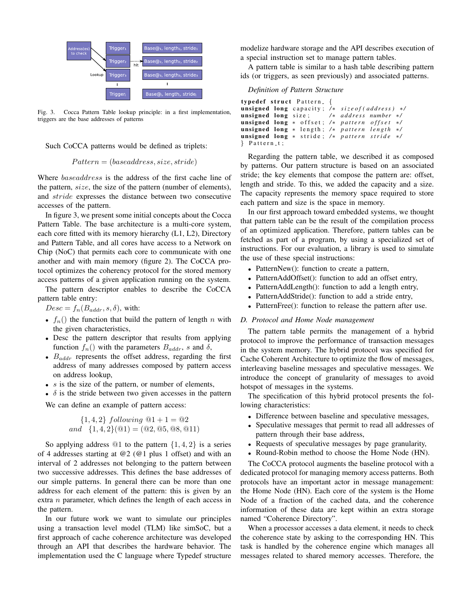

Fig. 3. Cocca Pattern Table lookup principle: in a first implementation, triggers are the base addresses of patterns

Such CoCCA patterns would be defined as triplets:

$$
Pattern = (based dress, size, stride)
$$

Where *baseaddress* is the address of the first cache line of the pattern, size, the size of the pattern (number of elements), and stride expresses the distance between two consecutive accesses of the pattern.

In figure 3, we present some initial concepts about the Cocca Pattern Table. The base architecture is a multi-core system, each core fitted with its memory hierarchy (L1, L2), Directory and Pattern Table, and all cores have access to a Network on Chip (NoC) that permits each core to communicate with one another and with main memory (figure 2). The CoCCA protocol optimizes the coherency protocol for the stored memory access patterns of a given application running on the system.

The pattern descriptor enables to describe the CoCCA pattern table entry:

 $Desc = f_n(B_{addr}, s, \delta)$ , with:

- $f_n()$  the function that build the pattern of length n with the given characteristics,
- Desc the pattern descriptor that results from applying function  $f_n()$  with the parameters  $B_{addr}$ , s and  $\delta$ ,
- $B_{addr}$  represents the offset address, regarding the first address of many addresses composed by pattern access on address lookup,
- $s$  is the size of the pattern, or number of elements,

•  $\delta$  is the stride between two given accesses in the pattern

We can define an example of pattern access:

$$
\{1,4,2\} \, following \, @1+1 = @2
$$
  
and \, 
$$
\{1,4,2\}(@1) = (@2,@5,@8,@11)
$$

So applying address  $@1$  to the pattern  $\{1, 4, 2\}$  is a series of 4 addresses starting at @2 (@1 plus 1 offset) and with an interval of 2 addresses not belonging to the pattern between two successive addresses. This defines the base addresses of our simple patterns. In general there can be more than one address for each element of the pattern: this is given by an extra  $n$  parameter, which defines the length of each access in the pattern.

In our future work we want to simulate our principles using a transaction level model (TLM) like simSoC, but a first approach of cache coherence architecture was developed through an API that describes the hardware behavior. The implementation used the C language where Typedef structure modelize hardware storage and the API describes execution of a special instruction set to manage pattern tables.

A pattern table is similar to a hash table describing pattern ids (or triggers, as seen previously) and associated patterns.

*Definition of Pattern Structure*

```
typedef struct Pattern. {
unsigned long capacity; \overrightarrow{A} size of (address) */
unsigned long size; /* address number */
unsigned long * offset; /* pattern offset */
unsigned long * length; /* pattern length */
unsigned long * stride; /* pattern stride */
} Pattern_t;
```
Regarding the pattern table, we described it as composed by patterns. Our pattern structure is based on an associated stride; the key elements that compose the pattern are: offset, length and stride. To this, we added the capacity and a size. The capacity represents the memory space required to store each pattern and size is the space in memory.

In our first approach toward embedded systems, we thought that pattern table can be the result of the compilation process of an optimized application. Therefore, pattern tables can be fetched as part of a program, by using a specialized set of instructions. For our evaluation, a library is used to simulate the use of these special instructions:

- PatternNew(): function to create a pattern,
- PatternAddOffset(): function to add an offset entry,
- PatternAddLength(): function to add a length entry,
- PatternAddStride(): function to add a stride entry,
- PatternFree(): function to release the pattern after use.

#### *D. Protocol and Home Node management*

The pattern table permits the management of a hybrid protocol to improve the performance of transaction messages in the system memory. The hybrid protocol was specified for Cache Coherent Architecture to optimize the flow of messages, interleaving baseline messages and speculative messages. We introduce the concept of granularity of messages to avoid hotspot of messages in the systems.

The specification of this hybrid protocol presents the following characteristics:

- Difference between baseline and speculative messages,
- Speculative messages that permit to read all addresses of pattern through their base address,
- Requests of speculative messages by page granularity,
- Round-Robin method to choose the Home Node (HN).

The CoCCA protocol augments the baseline protocol with a dedicated protocol for managing memory access patterns. Both protocols have an important actor in message management: the Home Node (HN). Each core of the system is the Home Node of a fraction of the cached data, and the coherence information of these data are kept within an extra storage named "Coherence Directory".

When a processor accesses a data element, it needs to check the coherence state by asking to the corresponding HN. This task is handled by the coherence engine which manages all messages related to shared memory accesses. Therefore, the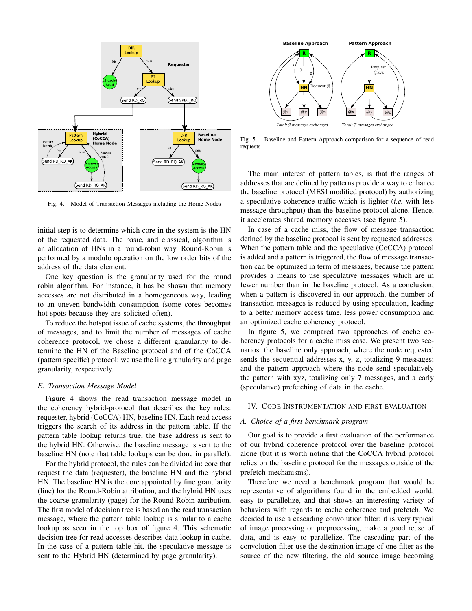

Fig. 4. Model of Transaction Messages including the Home Nodes

initial step is to determine which core in the system is the HN of the requested data. The basic, and classical, algorithm is an allocation of HNs in a round-robin way. Round-Robin is performed by a modulo operation on the low order bits of the address of the data element.

One key question is the granularity used for the round robin algorithm. For instance, it has be shown that memory accesses are not distributed in a homogeneous way, leading to an uneven bandwidth consumption (some cores becomes hot-spots because they are solicited often).

To reduce the hotspot issue of cache systems, the throughput of messages, and to limit the number of messages of cache coherence protocol, we chose a different granularity to determine the HN of the Baseline protocol and of the CoCCA (pattern specific) protocol: we use the line granularity and page granularity, respectively.

#### *E. Transaction Message Model*

Figure 4 shows the read transaction message model in the coherency hybrid-protocol that describes the key rules: requester, hybrid (CoCCA) HN, baseline HN. Each read access triggers the search of its address in the pattern table. If the pattern table lookup returns true, the base address is sent to the hybrid HN. Otherwise, the baseline message is sent to the baseline HN (note that table lookups can be done in parallel).

For the hybrid protocol, the rules can be divided in: core that request the data (requester), the baseline HN and the hybrid HN. The baseline HN is the core appointed by fine granularity (line) for the Round-Robin attribution, and the hybrid HN uses the coarse granularity (page) for the Round-Robin attribution. The first model of decision tree is based on the read transaction message, where the pattern table lookup is similar to a cache lookup as seen in the top box of figure 4. This schematic decision tree for read accesses describes data lookup in cache. In the case of a pattern table hit, the speculative message is sent to the Hybrid HN (determined by page granularity).



Fig. 5. Baseline and Pattern Approach comparison for a sequence of read requests

The main interest of pattern tables, is that the ranges of addresses that are defined by patterns provide a way to enhance the baseline protocol (MESI modified protocol) by authorizing a speculative coherence traffic which is lighter (*i.e.* with less message throughput) than the baseline protocol alone. Hence, it accelerates shared memory accesses (see figure 5).

In case of a cache miss, the flow of message transaction defined by the baseline protocol is sent by requested addresses. When the pattern table and the speculative (CoCCA) protocol is added and a pattern is triggered, the flow of message transaction can be optimized in term of messages, because the pattern provides a means to use speculative messages which are in fewer number than in the baseline protocol. As a conclusion, when a pattern is discovered in our approach, the number of transaction messages is reduced by using speculation, leading to a better memory access time, less power consumption and an optimized cache coherency protocol.

In figure 5, we compared two approaches of cache coherency protocols for a cache miss case. We present two scenarios: the baseline only approach, where the node requested sends the sequential addresses x, y, z, totalizing 9 messages; and the pattern approach where the node send speculatively the pattern with xyz, totalizing only 7 messages, and a early (speculative) prefetching of data in the cache.

#### IV. CODE INSTRUMENTATION AND FIRST EVALUATION

## *A. Choice of a first benchmark program*

Our goal is to provide a first evaluation of the performance of our hybrid coherence protocol over the baseline protocol alone (but it is worth noting that the CoCCA hybrid protocol relies on the baseline protocol for the messages outside of the prefetch mechanisms).

Therefore we need a benchmark program that would be representative of algorithms found in the embedded world, easy to parallelize, and that shows an interesting variety of behaviors with regards to cache coherence and prefetch. We decided to use a cascading convolution filter: it is very typical of image processing or preprocessing, make a good reuse of data, and is easy to parallelize. The cascading part of the convolution filter use the destination image of one filter as the source of the new filtering, the old source image becoming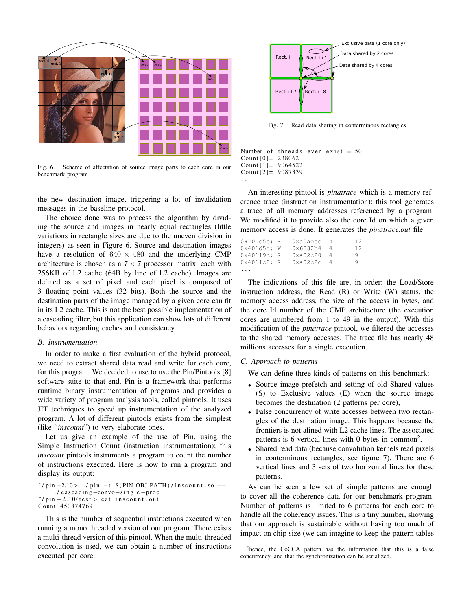

Fig. 6. Scheme of affectation of source image parts to each core in our benchmark program

the new destination image, triggering a lot of invalidation messages in the baseline protocol.

The choice done was to process the algorithm by dividing the source and images in nearly equal rectangles (little variations in rectangle sizes are due to the uneven division in integers) as seen in Figure 6. Source and destination images have a resolution of  $640 \times 480$  and the underlying CMP architecture is chosen as a  $7 \times 7$  processor matrix, each with 256KB of L2 cache (64B by line of L2 cache). Images are defined as a set of pixel and each pixel is composed of 3 floating point values (32 bits). Both the source and the destination parts of the image managed by a given core can fit in its L2 cache. This is not the best possible implementation of a cascading filter, but this application can show lots of different behaviors regarding caches and consistency.

### *B. Instrumentation*

In order to make a first evaluation of the hybrid protocol, we need to extract shared data read and write for each core, for this program. We decided to use to use the Pin/Pintools [8] software suite to that end. Pin is a framework that performs runtime binary instrumentation of programs and provides a wide variety of program analysis tools, called pintools. It uses JIT techniques to speed up instrumentation of the analyzed program. A lot of different pintools exists from the simplest (like "*inscount*") to very elaborate ones.

Let us give an example of the use of Pin, using the Simple Instruction Count (instruction instrumentation); this *inscount* pintools instruments a program to count the number of instructions executed. Here is how to run a program and display its output:

 $\gamma$  pin  $-2.10$  > ./ pin  $-t$  \$ (PIN\_OBJ\_PATH) / inscount . so  $-$ ./ cascading -convo-single -proc  $\gamma$  pin  $-2.10$ / test > cat inscount . out Count 450874769

This is the number of sequential instructions executed when running a mono threaded version of our program. There exists a multi-thread version of this pintool. When the multi-threaded convolution is used, we can obtain a number of instructions executed per core:



Fig. 7. Read data sharing in conterminous rectangles

```
Number of threads ever exist = 50Count [0] = 238062Count [1] = 9064522Count [2] = 9087339
. . .
```
An interesting pintool is *pinatrace* which is a memory reference trace (instruction instrumentation): this tool generates a trace of all memory addresses referenced by a program. We modified it to provide also the core Id on which a given memory access is done. It generates the *pinatrace.out* file:

| $0x4011c8$ : R        | 0xa02c2c | $\Delta$ | 9  |
|-----------------------|----------|----------|----|
| $0 \times 40119c$ : R | 0xa02c20 | 4        | 9. |
| 0x401d5d:W            | 0x6832b4 | 4        | 12 |
| $0x401c5e$ : R        | 0xa0aecc | $\Delta$ | 12 |

The indications of this file are, in order: the Load/Store instruction address, the Read (R) or Write (W) status, the memory access address, the size of the access in bytes, and the core Id number of the CMP architecture (the execution cores are numbered from 1 to 49 in the output). With this modification of the *pinatrace* pintool, we filtered the accesses to the shared memory accesses. The trace file has nearly 48 millions accesses for a single execution.

#### *C. Approach to patterns*

We can define three kinds of patterns on this benchmark:

- Source image prefetch and setting of old Shared values (S) to Exclusive values (E) when the source image becomes the destination (2 patterns per core),
- False concurrency of write accesses between two rectangles of the destination image. This happens because the frontiers is not alined with L2 cache lines. The associated patterns is 6 vertical lines with 0 bytes in common<sup>2</sup>,
- Shared read data (because convolution kernels read pixels in conterminous rectangles, see figure 7). There are 6 vertical lines and 3 sets of two horizontal lines for these patterns.

As can be seen a few set of simple patterns are enough to cover all the coherence data for our benchmark program. Number of patterns is limited to 6 patterns for each core to handle all the coherency issues. This is a tiny number, showing that our approach is sustainable without having too much of impact on chip size (we can imagine to keep the pattern tables

<sup>2</sup>hence, the CoCCA pattern has the information that this is a false concurrency, and that the synchronization can be serialized.